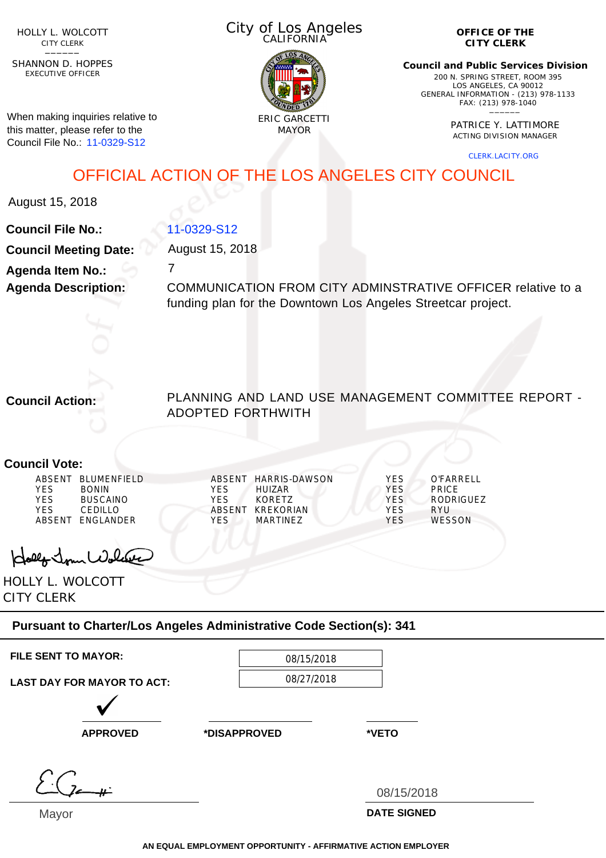HOLLY L. WOLCOTT CITY CLERK<br>—————

EXECUTIVE OFFICER SHANNON D. HOPPES

When making inquiries relative to this matter, please refer to the Council File No.: 11-0329-S12

City of Los Angeles CALIFORNIA



**OFFICE OF THE CITY CLERK**

**Council and Public Services Division** 200 N. SPRING STREET, ROOM 395 LOS ANGELES, CA 90012 GENERAL INFORMATION - (213) 978-1133 FAX: (213) 978-1040 \_\_\_\_\_\_

> PATRICE Y. LATTIMORE ACTING DIVISION MANAGER

> > CLERK.LACITY.ORG

OFFICIAL ACTION OF THE LOS ANGELES CITY COUNCIL

August 15, 2018

**Council File No.: Council Meeting Date: Agenda Item No.: Agenda Description:**

7 COMMUNICATION FROM CITY ADMINSTRATIVE OFFICER relative to a funding plan for the Downtown Los Angeles Streetcar project.

**Council Action:**

PLANNING AND LAND USE MANAGEMENT COMMITTEE REPORT - ADOPTED FORTHWITH

## **Council Vote:**

| ABSENT | <b>BLUMENEIELD</b> | ARSENT     | <b>HARRIS-DAWSON</b> | YES        | O'FARRFI I       |
|--------|--------------------|------------|----------------------|------------|------------------|
| YFS    | <b>BONIN</b>       | <b>YFS</b> | HUIZAR.              | YES        | <b>PRICE</b>     |
| YFS    | <b>BUSCAINO</b>    | YFS        | KORFTZ               | <b>YES</b> | <b>RODRIGUEZ</b> |
| YFS    | CEDILLO            | ABSENT     | KRFKORIAN            | YES        | RYU              |
| ABSENT | <b>FNGI ANDER</b>  | YFS        | MARTINF7             | YES        | <b>WESSON</b>    |

Hollo Jour Wolder

HOLLY L. WOLCOTT CITY CLERK

## **Pursuant to Charter/Los Angeles Administrative Code Section(s): 341**

11-0329-S12

August 15, 2018

| <b>FILE SENT TO MAYOR:</b> | 08/15/2018 |
|----------------------------|------------|
|                            | 00/27/2010 |

**LAST DAY FOR MAYOR TO ACT:**

08/27/2018

**APPROVED \*DISAPPROVED \*VETO**

**DATE SIGNED** 08/15/2018

Mayor

**AN EQUAL EMPLOYMENT OPPORTUNITY - AFFIRMATIVE ACTION EMPLOYER**